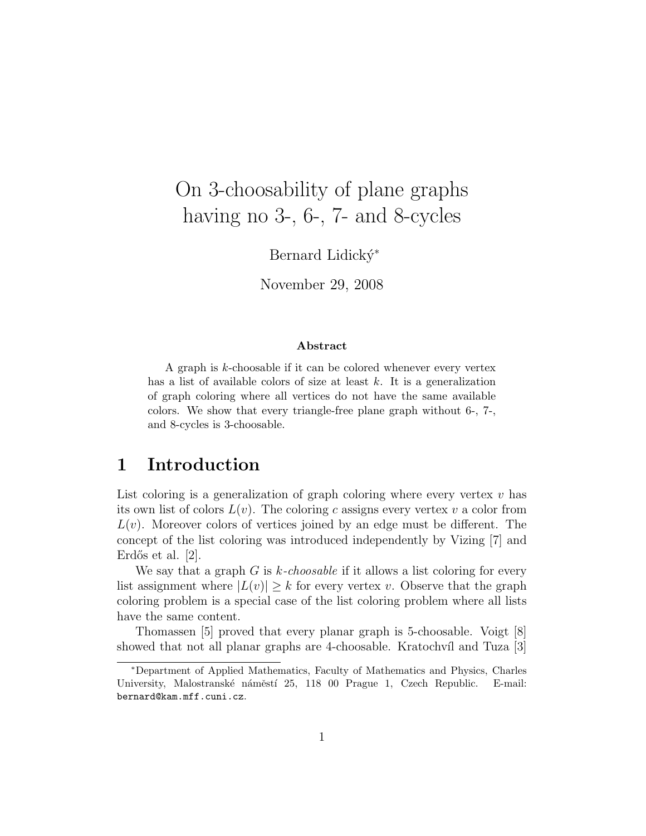# On 3-choosability of plane graphs having no 3-, 6-, 7- and 8-cycles

Bernard Lidický<sup>\*</sup>

November 29, 2008

#### Abstract

A graph is k-choosable if it can be colored whenever every vertex has a list of available colors of size at least  $k$ . It is a generalization of graph coloring where all vertices do not have the same available colors. We show that every triangle-free plane graph without 6-, 7-, and 8-cycles is 3-choosable.

### 1 Introduction

List coloring is a generalization of graph coloring where every vertex  $v$  has its own list of colors  $L(v)$ . The coloring c assigns every vertex v a color from  $L(v)$ . Moreover colors of vertices joined by an edge must be different. The concept of the list coloring was introduced independently by Vizing [7] and Erdős et al.  $[2]$ .

We say that a graph  $G$  is k-choosable if it allows a list coloring for every list assignment where  $|L(v)| \geq k$  for every vertex v. Observe that the graph coloring problem is a special case of the list coloring problem where all lists have the same content.

Thomassen [5] proved that every planar graph is 5-choosable. Voigt [8] showed that not all planar graphs are 4-choosable. Kratochvíl and Tuza [3]

<sup>∗</sup>Department of Applied Mathematics, Faculty of Mathematics and Physics, Charles University, Malostranské náměstí 25, 118 00 Prague 1, Czech Republic. E-mail: bernard@kam.mff.cuni.cz.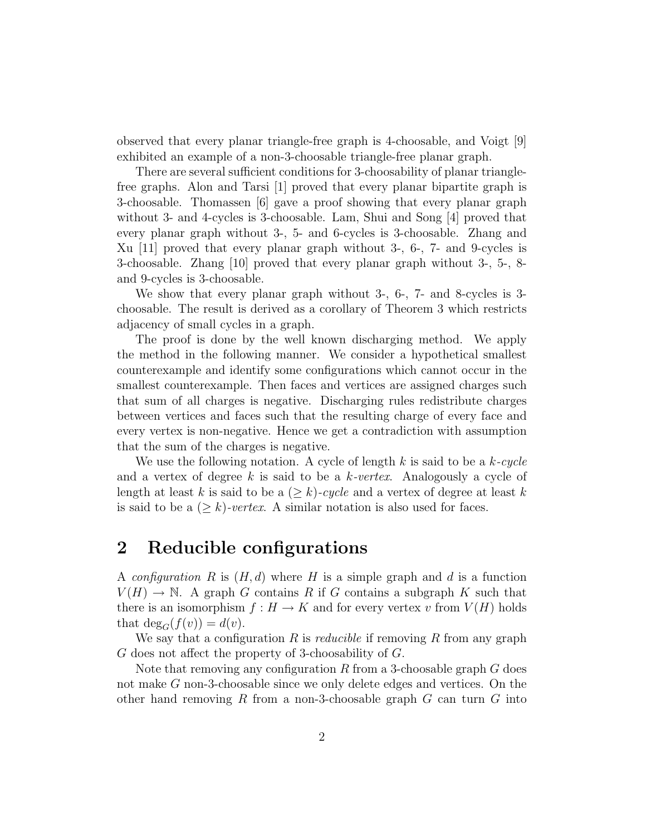observed that every planar triangle-free graph is 4-choosable, and Voigt [9] exhibited an example of a non-3-choosable triangle-free planar graph.

There are several sufficient conditions for 3-choosability of planar trianglefree graphs. Alon and Tarsi [1] proved that every planar bipartite graph is 3-choosable. Thomassen [6] gave a proof showing that every planar graph without 3- and 4-cycles is 3-choosable. Lam, Shui and Song [4] proved that every planar graph without 3-, 5- and 6-cycles is 3-choosable. Zhang and Xu [11] proved that every planar graph without 3-, 6-, 7- and 9-cycles is 3-choosable. Zhang [10] proved that every planar graph without 3-, 5-, 8 and 9-cycles is 3-choosable.

We show that every planar graph without 3-, 6-, 7- and 8-cycles is 3 choosable. The result is derived as a corollary of Theorem 3 which restricts adjacency of small cycles in a graph.

The proof is done by the well known discharging method. We apply the method in the following manner. We consider a hypothetical smallest counterexample and identify some configurations which cannot occur in the smallest counterexample. Then faces and vertices are assigned charges such that sum of all charges is negative. Discharging rules redistribute charges between vertices and faces such that the resulting charge of every face and every vertex is non-negative. Hence we get a contradiction with assumption that the sum of the charges is negative.

We use the following notation. A cycle of length k is said to be a  $k$ -cycle and a vertex of degree k is said to be a  $k$ -vertex. Analogously a cycle of length at least k is said to be a  $(\geq k)$ -cycle and a vertex of degree at least k is said to be a  $(\geq k)$ -vertex. A similar notation is also used for faces.

### 2 Reducible configurations

A configuration R is  $(H, d)$  where H is a simple graph and d is a function  $V(H) \to \mathbb{N}$ . A graph G contains R if G contains a subgraph K such that there is an isomorphism  $f : H \to K$  and for every vertex v from  $V(H)$  holds that  $deg_G(f(v)) = d(v)$ .

We say that a configuration R is *reducible* if removing R from any graph G does not affect the property of 3-choosability of G.

Note that removing any configuration R from a 3-choosable graph  $G$  does not make G non-3-choosable since we only delete edges and vertices. On the other hand removing R from a non-3-choosable graph  $G$  can turn  $G$  into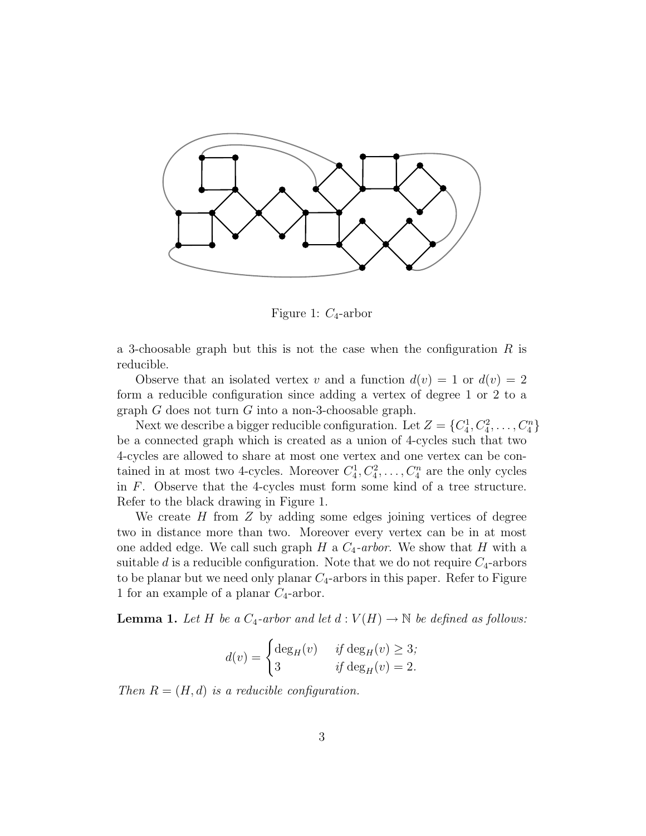

Figure 1:  $C_4$ -arbor

a 3-choosable graph but this is not the case when the configuration  $R$  is reducible.

Observe that an isolated vertex v and a function  $d(v) = 1$  or  $d(v) = 2$ form a reducible configuration since adding a vertex of degree 1 or 2 to a graph G does not turn G into a non-3-choosable graph.

Next we describe a bigger reducible configuration. Let  $Z = \{C_4^1, C_4^2, \ldots, C_4^n\}$ be a connected graph which is created as a union of 4-cycles such that two 4-cycles are allowed to share at most one vertex and one vertex can be contained in at most two 4-cycles. Moreover  $C_4^1, C_4^2, \ldots, C_4^n$  are the only cycles in F. Observe that the 4-cycles must form some kind of a tree structure. Refer to the black drawing in Figure 1.

We create  $H$  from  $Z$  by adding some edges joining vertices of degree two in distance more than two. Moreover every vertex can be in at most one added edge. We call such graph H a  $C_4$ -arbor. We show that H with a suitable d is a reducible configuration. Note that we do not require  $C_4$ -arbors to be planar but we need only planar  $C_4$ -arbors in this paper. Refer to Figure 1 for an example of a planar  $C_4$ -arbor.

**Lemma 1.** Let H be a  $C_4$ -arbor and let  $d: V(H) \to \mathbb{N}$  be defined as follows:

$$
d(v) = \begin{cases} \deg_H(v) & \text{if } \deg_H(v) \ge 3; \\ 3 & \text{if } \deg_H(v) = 2. \end{cases}
$$

Then  $R = (H, d)$  is a reducible configuration.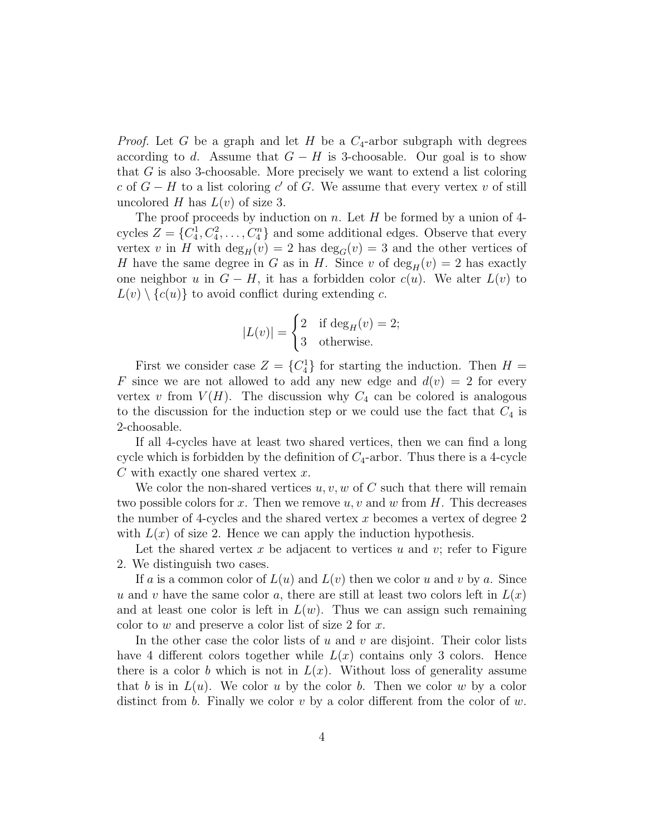*Proof.* Let G be a graph and let H be a  $C_4$ -arbor subgraph with degrees according to d. Assume that  $G - H$  is 3-choosable. Our goal is to show that G is also 3-choosable. More precisely we want to extend a list coloring c of  $G - H$  to a list coloring c' of G. We assume that every vertex v of still uncolored H has  $L(v)$  of size 3.

The proof proceeds by induction on n. Let  $H$  be formed by a union of 4cycles  $Z = \{C_4^1, C_4^2, \ldots, C_4^n\}$  and some additional edges. Observe that every vertex v in H with  $\deg_H(v) = 2$  has  $\deg_G(v) = 3$  and the other vertices of H have the same degree in G as in H. Since v of  $deg_H(v) = 2$  has exactly one neighbor u in  $G - H$ , it has a forbidden color  $c(u)$ . We alter  $L(v)$  to  $L(v) \setminus \{c(u)\}\$ to avoid conflict during extending c.

$$
|L(v)| = \begin{cases} 2 & \text{if } \deg_H(v) = 2; \\ 3 & \text{otherwise.} \end{cases}
$$

First we consider case  $Z = \{C_4^1\}$  for starting the induction. Then  $H =$ F since we are not allowed to add any new edge and  $d(v) = 2$  for every vertex v from  $V(H)$ . The discussion why  $C_4$  can be colored is analogous to the discussion for the induction step or we could use the fact that  $C_4$  is 2-choosable.

If all 4-cycles have at least two shared vertices, then we can find a long cycle which is forbidden by the definition of  $C_4$ -arbor. Thus there is a 4-cycle  $C$  with exactly one shared vertex  $x$ .

We color the non-shared vertices  $u, v, w$  of C such that there will remain two possible colors for x. Then we remove  $u, v$  and  $w$  from  $H$ . This decreases the number of 4-cycles and the shared vertex x becomes a vertex of degree  $2$ with  $L(x)$  of size 2. Hence we can apply the induction hypothesis.

Let the shared vertex x be adjacent to vertices u and v; refer to Figure 2. We distinguish two cases.

If a is a common color of  $L(u)$  and  $L(v)$  then we color u and v by a. Since u and v have the same color a, there are still at least two colors left in  $L(x)$ and at least one color is left in  $L(w)$ . Thus we can assign such remaining color to w and preserve a color list of size 2 for  $x$ .

In the other case the color lists of u and v are disjoint. Their color lists have 4 different colors together while  $L(x)$  contains only 3 colors. Hence there is a color b which is not in  $L(x)$ . Without loss of generality assume that b is in  $L(u)$ . We color u by the color b. Then we color w by a color distinct from b. Finally we color v by a color different from the color of w.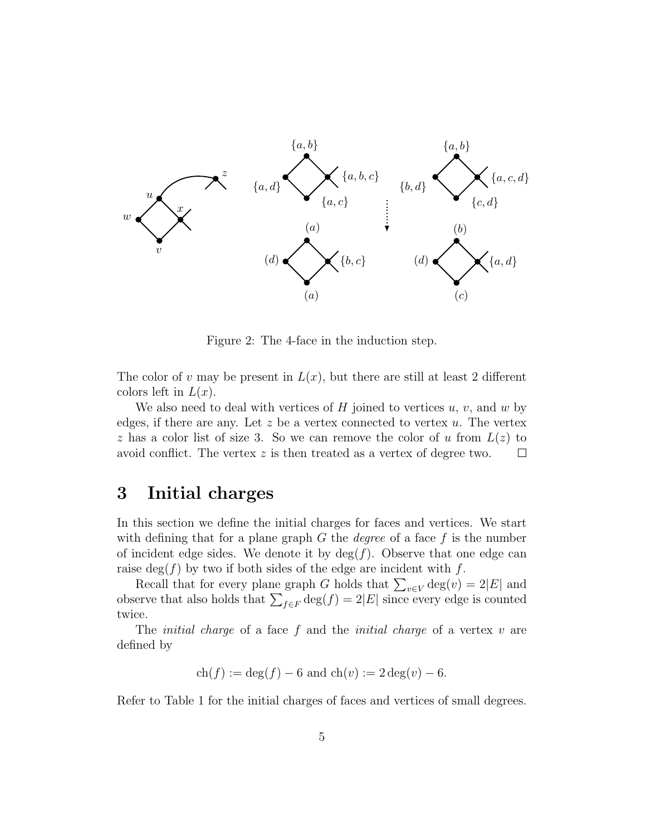

Figure 2: The 4-face in the induction step.

The color of v may be present in  $L(x)$ , but there are still at least 2 different colors left in  $L(x)$ .

We also need to deal with vertices of  $H$  joined to vertices  $u, v$ , and  $w$  by edges, if there are any. Let  $z$  be a vertex connected to vertex  $u$ . The vertex z has a color list of size 3. So we can remove the color of u from  $L(z)$  to avoid conflict. The vertex z is then treated as a vertex of degree two.  $\Box$ 

#### 3 Initial charges

In this section we define the initial charges for faces and vertices. We start with defining that for a plane graph  $G$  the *degree* of a face  $f$  is the number of incident edge sides. We denote it by  $\deg(f)$ . Observe that one edge can raise deg( $f$ ) by two if both sides of the edge are incident with  $f$ .

Recall that for every plane graph G holds that  $\sum_{v \in V} \deg(v) = 2|E|$  and observe that also holds that  $\sum_{f \in F} \deg(f) = 2|E|$  since every edge is counted twice.

The *initial charge* of a face  $f$  and the *initial charge* of a vertex  $v$  are defined by

$$
ch(f) := deg(f) - 6
$$
 and  $ch(v) := 2 deg(v) - 6$ .

Refer to Table 1 for the initial charges of faces and vertices of small degrees.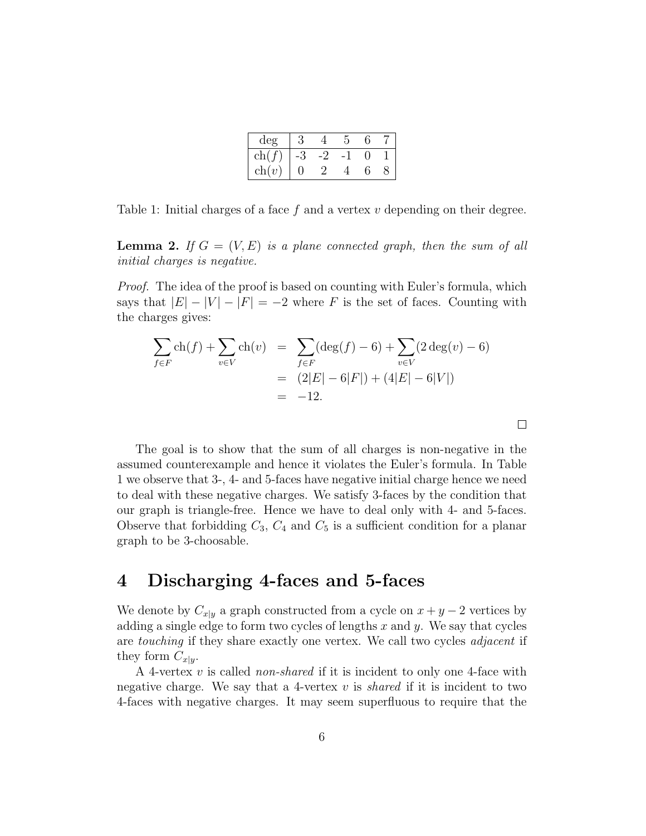| deg                  |  |  |  |
|----------------------|--|--|--|
| ch                   |  |  |  |
| ch<br>$\overline{v}$ |  |  |  |

Table 1: Initial charges of a face  $f$  and a vertex  $v$  depending on their degree.

**Lemma 2.** If  $G = (V, E)$  is a plane connected graph, then the sum of all initial charges is negative.

Proof. The idea of the proof is based on counting with Euler's formula, which says that  $|E| - |V| - |F| = -2$  where F is the set of faces. Counting with the charges gives:

$$
\sum_{f \in F} ch(f) + \sum_{v \in V} ch(v) = \sum_{f \in F} (deg(f) - 6) + \sum_{v \in V} (2 deg(v) - 6)
$$
  
= (2|E| - 6|F|) + (4|E| - 6|V|)  
= -12.

The goal is to show that the sum of all charges is non-negative in the assumed counterexample and hence it violates the Euler's formula. In Table 1 we observe that 3-, 4- and 5-faces have negative initial charge hence we need to deal with these negative charges. We satisfy 3-faces by the condition that our graph is triangle-free. Hence we have to deal only with 4- and 5-faces. Observe that forbidding  $C_3$ ,  $C_4$  and  $C_5$  is a sufficient condition for a planar graph to be 3-choosable.

## 4 Discharging 4-faces and 5-faces

We denote by  $C_{x|y}$  a graph constructed from a cycle on  $x + y - 2$  vertices by adding a single edge to form two cycles of lengths  $x$  and  $y$ . We say that cycles are touching if they share exactly one vertex. We call two cycles adjacent if they form  $C_{x|y}$ .

A 4-vertex  $v$  is called *non-shared* if it is incident to only one 4-face with negative charge. We say that a 4-vertex  $v$  is *shared* if it is incident to two 4-faces with negative charges. It may seem superfluous to require that the

 $\Box$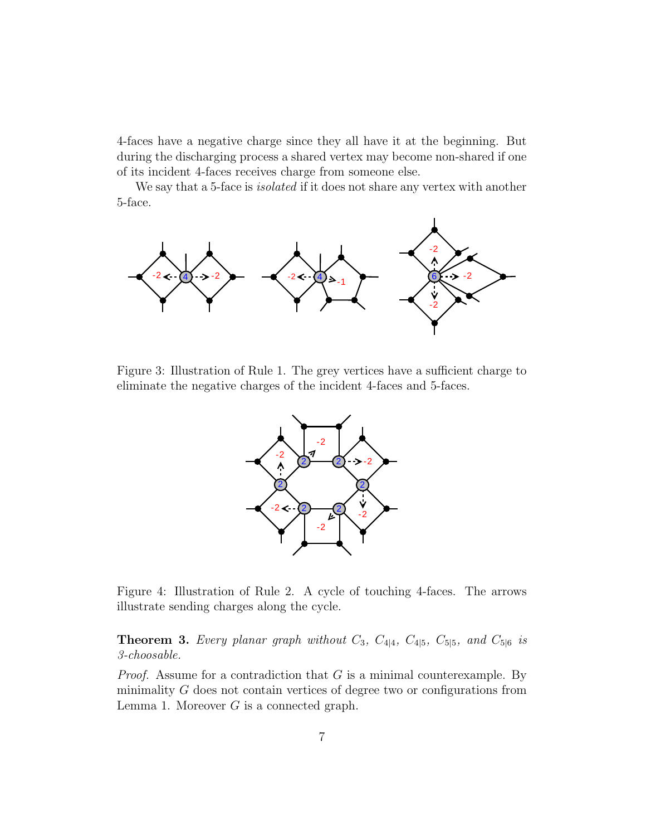4-faces have a negative charge since they all have it at the beginning. But during the discharging process a shared vertex may become non-shared if one of its incident 4-faces receives charge from someone else.

We say that a 5-face is *isolated* if it does not share any vertex with another 5-face.



Figure 3: Illustration of Rule 1. The grey vertices have a sufficient charge to eliminate the negative charges of the incident 4-faces and 5-faces.



Figure 4: Illustration of Rule 2. A cycle of touching 4-faces. The arrows illustrate sending charges along the cycle.

**Theorem 3.** Every planar graph without  $C_3$ ,  $C_{4|4}$ ,  $C_{4|5}$ ,  $C_{5|5}$ , and  $C_{5|6}$  is 3-choosable.

*Proof.* Assume for a contradiction that  $G$  is a minimal counterexample. By minimality  $G$  does not contain vertices of degree two or configurations from Lemma 1. Moreover  $G$  is a connected graph.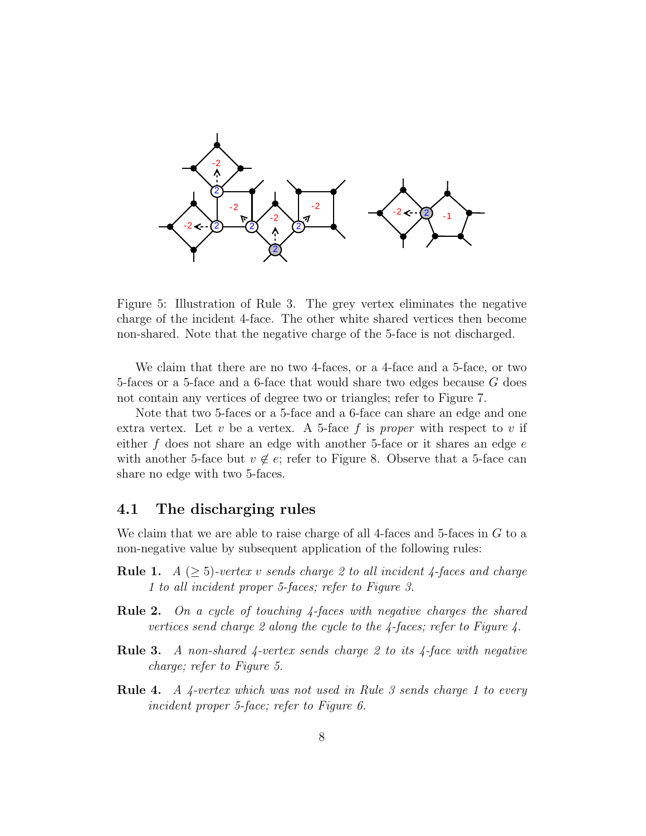

Figure 5: Illustration of Rule 3. The grey vertex eliminates the negative charge of the incident 4-face. The other white shared vertices then become non-shared. Note that the negative charge of the 5-face is not discharged.

We claim that there are no two 4-faces, or a 4-face and a 5-face, or two 5-faces or a 5-face and a 6-face that would share two edges because G does not contain any vertices of degree two or triangles; refer to Figure 7.

Note that two 5-faces or a 5-face and a 6-face can share an edge and one extra vertex. Let  $v$  be a vertex. A 5-face  $f$  is proper with respect to  $v$  if either  $f$  does not share an edge with another 5-face or it shares an edge  $e$ with another 5-face but  $v \notin e$ ; refer to Figure 8. Observe that a 5-face can share no edge with two 5-faces.

#### 4.1 The discharging rules

We claim that we are able to raise charge of all 4-faces and 5-faces in  $G$  to a non-negative value by subsequent application of the following rules:

- **Rule 1.**  $A \geq 5$ )-vertex v sends charge 2 to all incident 4-faces and charge 1 to all incident proper 5-faces; refer to Figure 3.
- Rule 2. On a cycle of touching 4-faces with negative charges the shared vertices send charge 2 along the cycle to the 4-faces; refer to Figure 4.
- **Rule 3.** A non-shared 4-vertex sends charge 2 to its 4-face with negative charge; refer to Figure 5.
- Rule 4. A 4-vertex which was not used in Rule 3 sends charge 1 to every incident proper 5-face; refer to Figure 6.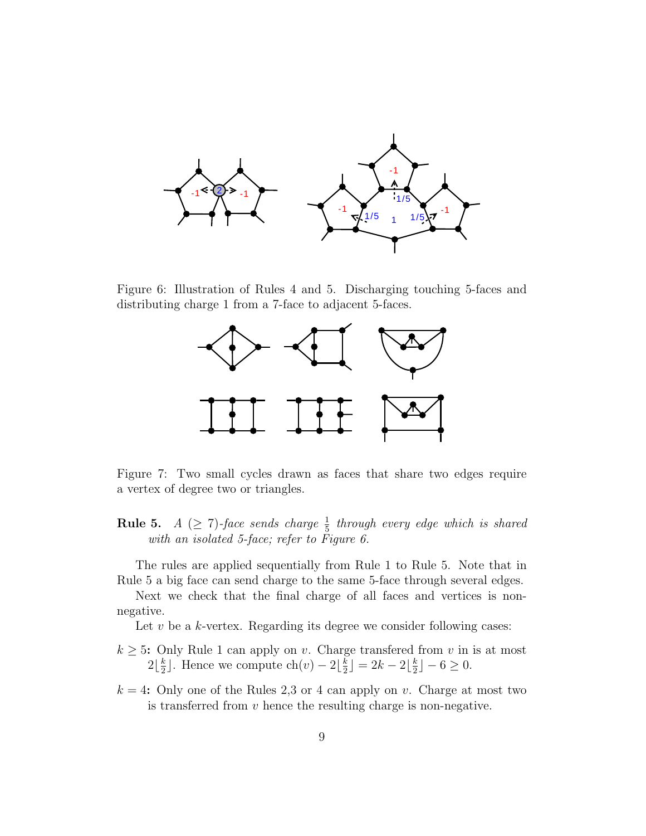

Figure 6: Illustration of Rules 4 and 5. Discharging touching 5-faces and distributing charge 1 from a 7-face to adjacent 5-faces.



Figure 7: Two small cycles drawn as faces that share two edges require a vertex of degree two or triangles.

**Rule 5.**  $A \ (\geq 7)$ -face sends charge  $\frac{1}{5}$  through every edge which is shared with an isolated 5-face; refer to Figure 6.

The rules are applied sequentially from Rule 1 to Rule 5. Note that in Rule 5 a big face can send charge to the same 5-face through several edges.

Next we check that the final charge of all faces and vertices is nonnegative.

Let  $v$  be a  $k$ -vertex. Regarding its degree we consider following cases:

- $k \geq 5$ : Only Rule 1 can apply on v. Charge transferred from v in is at most  $2\frac{k}{2}$  $\frac{k}{2}$ ]. Hence we compute ch(v) − 2 $\lfloor \frac{k}{2} \rfloor$  $\frac{k}{2}$ ] = 2k – 2 $\lfloor \frac{k}{2}$  $\frac{k}{2}$ ] – 6  $\geq$  0.
- $k = 4$ : Only one of the Rules 2,3 or 4 can apply on v. Charge at most two is transferred from  $v$  hence the resulting charge is non-negative.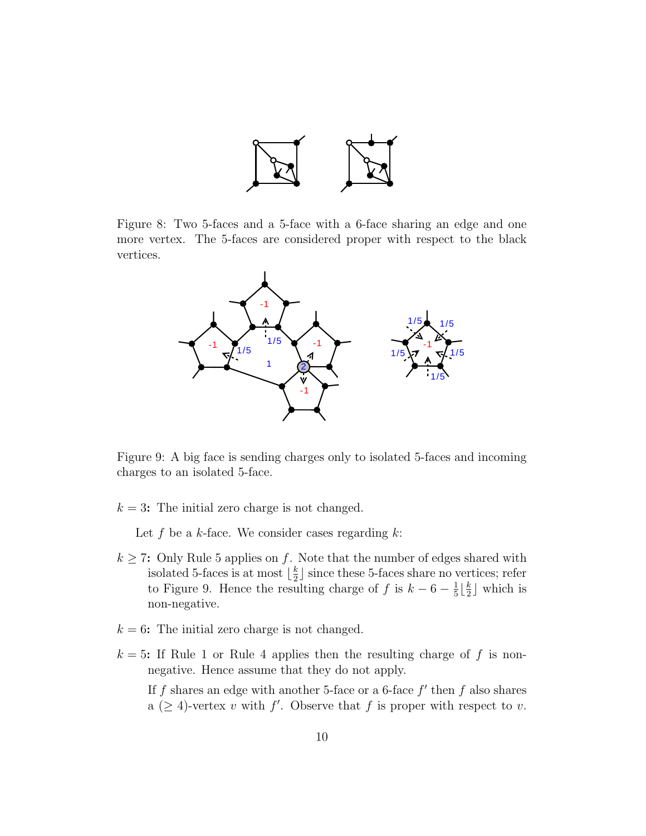

Figure 8: Two 5-faces and a 5-face with a 6-face sharing an edge and one more vertex. The 5-faces are considered proper with respect to the black vertices.



Figure 9: A big face is sending charges only to isolated 5-faces and incoming charges to an isolated 5-face.

 $k = 3$ : The initial zero charge is not changed.

Let f be a k-face. We consider cases regarding  $k$ :

- $k \geq 7$ : Only Rule 5 applies on f. Note that the number of edges shared with isolated 5-faces is at most  $\lfloor \frac{k}{2} \rfloor$  $\frac{k}{2}$  since these 5-faces share no vertices; refer to Figure 9. Hence the resulting charge of f is  $k-6-\frac{1}{5}$  $\frac{1}{5} \left\lfloor \frac{k}{2} \right\rfloor$  $\frac{k}{2}$  which is non-negative.
- $k = 6$ : The initial zero charge is not changed.
- $k = 5$ : If Rule 1 or Rule 4 applies then the resulting charge of f is nonnegative. Hence assume that they do not apply.

If f shares an edge with another 5-face or a 6-face  $f'$  then f also shares a  $(\geq 4)$ -vertex v with f'. Observe that f is proper with respect to v.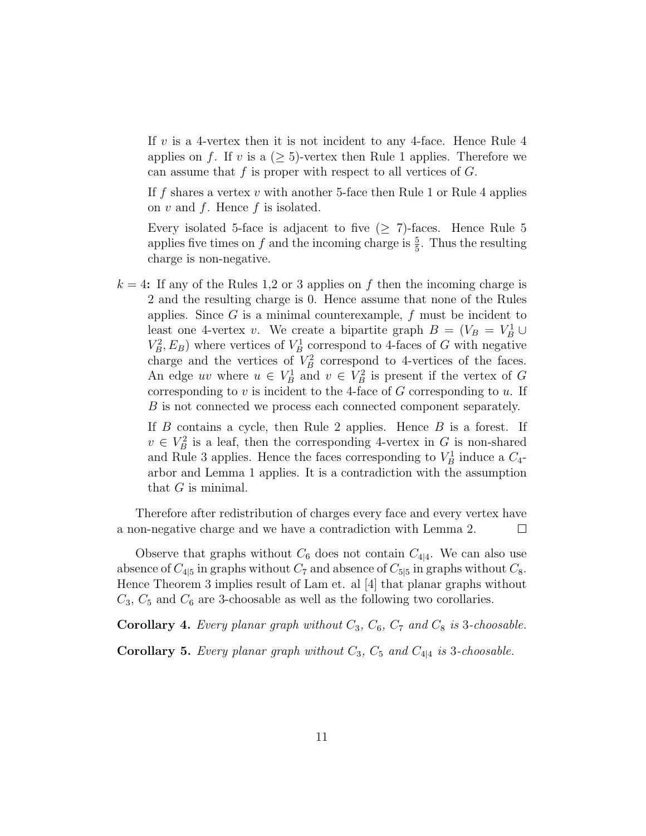If v is a 4-vertex then it is not incident to any 4-face. Hence Rule  $4$ applies on f. If v is a  $(\geq 5)$ -vertex then Rule 1 applies. Therefore we can assume that  $f$  is proper with respect to all vertices of  $G$ .

If f shares a vertex v with another 5-face then Rule 1 or Rule 4 applies on  $v$  and  $f$ . Hence  $f$  is isolated.

Every isolated 5-face is adjacent to five  $(2, 7)$ -faces. Hence Rule 5 applies five times on f and the incoming charge is  $\frac{5}{5}$ . Thus the resulting charge is non-negative.

 $k = 4$ : If any of the Rules 1,2 or 3 applies on f then the incoming charge is 2 and the resulting charge is 0. Hence assume that none of the Rules applies. Since  $G$  is a minimal counterexample,  $f$  must be incident to least one 4-vertex v. We create a bipartite graph  $B = (V_B = V_B^1 \cup$  $V_B^2, E_B$ ) where vertices of  $V_B^1$  correspond to 4-faces of G with negative charge and the vertices of  $V_B^2$  correspond to 4-vertices of the faces. An edge uv where  $u \in V_B^1$  and  $v \in V_B^2$  is present if the vertex of G corresponding to  $v$  is incident to the 4-face of  $G$  corresponding to  $u$ . If B is not connected we process each connected component separately.

If  $B$  contains a cycle, then Rule 2 applies. Hence  $B$  is a forest. If  $v \in V_B^2$  is a leaf, then the corresponding 4-vertex in G is non-shared and Rule 3 applies. Hence the faces corresponding to  $V_B^1$  induce a  $C_4$ arbor and Lemma 1 applies. It is a contradiction with the assumption that  $G$  is minimal.

Therefore after redistribution of charges every face and every vertex have a non-negative charge and we have a contradiction with Lemma 2.  $\Box$ 

Observe that graphs without  $C_6$  does not contain  $C_{4|4}$ . We can also use absence of  $C_{4|5}$  in graphs without  $C_7$  and absence of  $C_{5|5}$  in graphs without  $C_8$ . Hence Theorem 3 implies result of Lam et. al [4] that planar graphs without  $C_3$ ,  $C_5$  and  $C_6$  are 3-choosable as well as the following two corollaries.

Corollary 4. Every planar graph without  $C_3$ ,  $C_6$ ,  $C_7$  and  $C_8$  is 3-choosable.

Corollary 5. Every planar graph without  $C_3$ ,  $C_5$  and  $C_{4|4}$  is 3-choosable.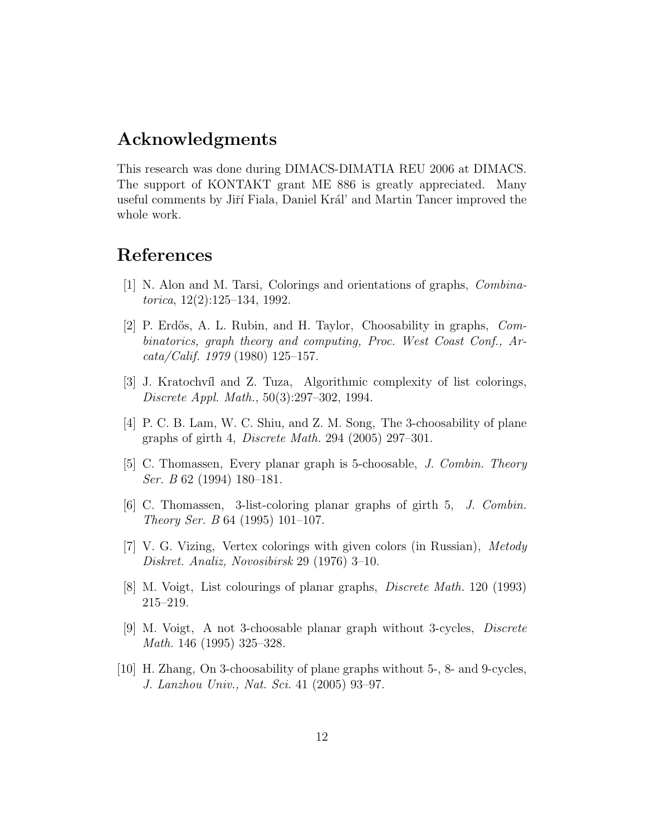#### Acknowledgments

This research was done during DIMACS-DIMATIA REU 2006 at DIMACS. The support of KONTAKT grant ME 886 is greatly appreciated. Many useful comments by Jiří Fiala, Daniel Král' and Martin Tancer improved the whole work.

### References

- [1] N. Alon and M. Tarsi, Colorings and orientations of graphs, Combinatorica, 12(2):125–134, 1992.
- [2] P. Erdős, A. L. Rubin, and H. Taylor, Choosability in graphs, *Com*binatorics, graph theory and computing, Proc. West Coast Conf., Ar $cata/Calif. 1979 (1980) 125-157.$
- [3] J. Kratochvíl and Z. Tuza, Algorithmic complexity of list colorings, Discrete Appl. Math., 50(3):297–302, 1994.
- [4] P. C. B. Lam, W. C. Shiu, and Z. M. Song, The 3-choosability of plane graphs of girth 4, Discrete Math. 294 (2005) 297–301.
- [5] C. Thomassen, Every planar graph is 5-choosable, J. Combin. Theory Ser. B 62 (1994) 180–181.
- [6] C. Thomassen, 3-list-coloring planar graphs of girth 5, J. Combin. Theory Ser. B 64 (1995) 101–107.
- [7] V. G. Vizing, Vertex colorings with given colors (in Russian), Metody Diskret. Analiz, Novosibirsk 29 (1976) 3–10.
- [8] M. Voigt, List colourings of planar graphs, Discrete Math. 120 (1993) 215–219.
- [9] M. Voigt, A not 3-choosable planar graph without 3-cycles, Discrete Math. 146 (1995) 325–328.
- [10] H. Zhang, On 3-choosability of plane graphs without 5-, 8- and 9-cycles, J. Lanzhou Univ., Nat. Sci. 41 (2005) 93–97.